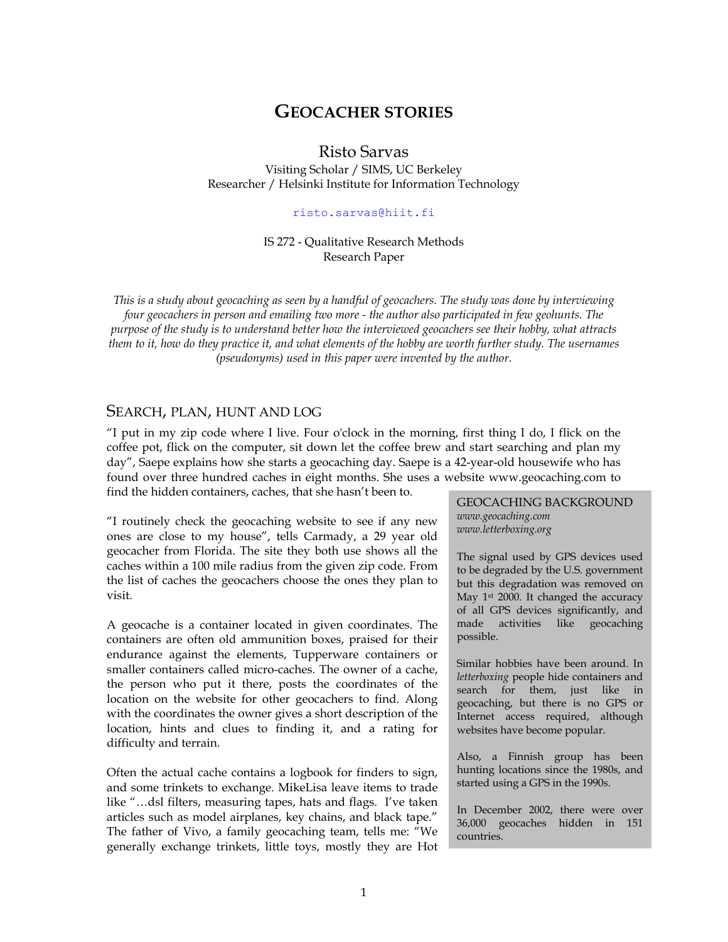# **GEOCACHER STORIES**

Risto Sarvas

Visiting Scholar / SIMS, UC Berkeley Researcher / Helsinki Institute for Information Technology

#### risto.sarvas@hiit.fi

### IS 272 - Qualitative Research Methods Research Paper

*This is a study about geocaching as seen by a handful of geocachers. The study was done by interviewing four geocachers in person and emailing two more - the author also participated in few geohunts. The purpose of the study is to understand better how the interviewed geocachers see their hobby, what attracts them to it, how do they practice it, and what elements of the hobby are worth further study. The usernames (pseudonyms) used in this paper were invented by the author.* 

### SEARCH, PLAN, HUNT AND LOG

"I put in my zip code where I live. Four o'clock in the morning, first thing I do, I flick on the coffee pot, flick on the computer, sit down let the coffee brew and start searching and plan my day", Saepe explains how she starts a geocaching day. Saepe is a 42-year-old housewife who has found over three hundred caches in eight months. She uses a website www.geocaching.com to find the hidden containers, caches, that she hasn't been to.

"I routinely check the geocaching website to see if any new ones are close to my house", tells Carmady, a 29 year old geocacher from Florida. The site they both use shows all the caches within a 100 mile radius from the given zip code. From the list of caches the geocachers choose the ones they plan to visit.

A geocache is a container located in given coordinates. The containers are often old ammunition boxes, praised for their endurance against the elements, Tupperware containers or smaller containers called micro-caches. The owner of a cache, the person who put it there, posts the coordinates of the location on the website for other geocachers to find. Along with the coordinates the owner gives a short description of the location, hints and clues to finding it, and a rating for difficulty and terrain.

Often the actual cache contains a logbook for finders to sign, and some trinkets to exchange. MikeLisa leave items to trade like "…dsl filters, measuring tapes, hats and flags. I've taken articles such as model airplanes, key chains, and black tape." The father of Vivo, a family geocaching team, tells me: "We generally exchange trinkets, little toys, mostly they are Hot

#### GEOCACHING BACKGROUND *www.geocaching.com www.letterboxing.org*

The signal used by GPS devices used to be degraded by the U.S. government but this degradation was removed on May 1<sup>st</sup> 2000. It changed the accuracy of all GPS devices significantly, and made activities like geocaching possible.

Similar hobbies have been around. In *letterboxing* people hide containers and search for them, just like in geocaching, but there is no GPS or Internet access required, although websites have become popular.

Also, a Finnish group has been hunting locations since the 1980s, and started using a GPS in the 1990s.

In December 2002, there were over 36,000 geocaches hidden in 151 countries.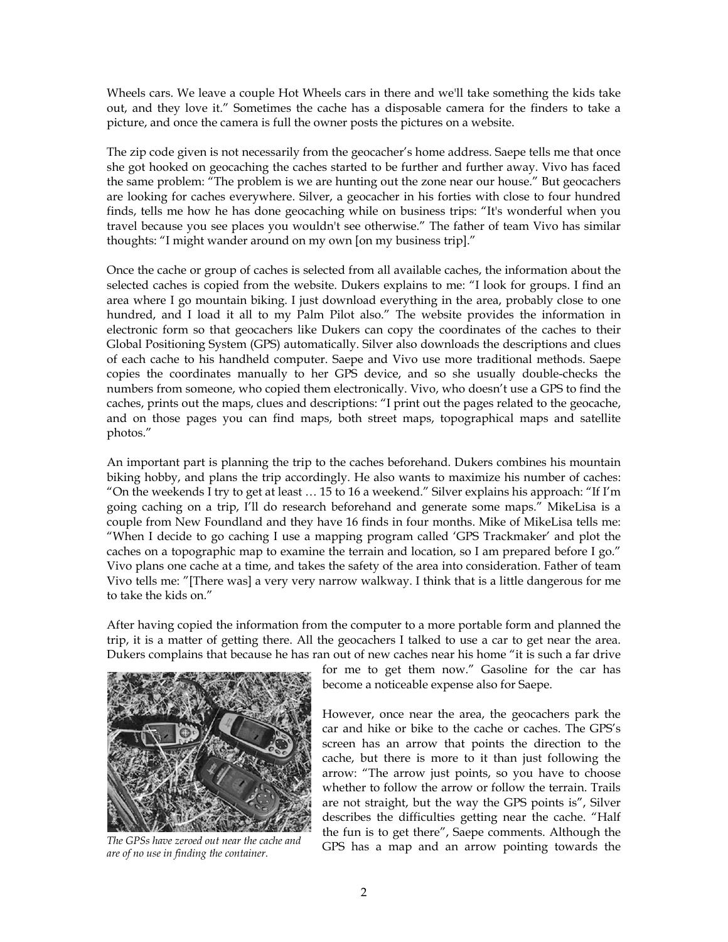Wheels cars. We leave a couple Hot Wheels cars in there and we'll take something the kids take out, and they love it." Sometimes the cache has a disposable camera for the finders to take a picture, and once the camera is full the owner posts the pictures on a website.

The zip code given is not necessarily from the geocacher's home address. Saepe tells me that once she got hooked on geocaching the caches started to be further and further away. Vivo has faced the same problem: "The problem is we are hunting out the zone near our house." But geocachers are looking for caches everywhere. Silver, a geocacher in his forties with close to four hundred finds, tells me how he has done geocaching while on business trips: "It's wonderful when you travel because you see places you wouldn't see otherwise." The father of team Vivo has similar thoughts: "I might wander around on my own [on my business trip]."

Once the cache or group of caches is selected from all available caches, the information about the selected caches is copied from the website. Dukers explains to me: "I look for groups. I find an area where I go mountain biking. I just download everything in the area, probably close to one hundred, and I load it all to my Palm Pilot also." The website provides the information in electronic form so that geocachers like Dukers can copy the coordinates of the caches to their Global Positioning System (GPS) automatically. Silver also downloads the descriptions and clues of each cache to his handheld computer. Saepe and Vivo use more traditional methods. Saepe copies the coordinates manually to her GPS device, and so she usually double-checks the numbers from someone, who copied them electronically. Vivo, who doesn't use a GPS to find the caches, prints out the maps, clues and descriptions: "I print out the pages related to the geocache, and on those pages you can find maps, both street maps, topographical maps and satellite photos."

An important part is planning the trip to the caches beforehand. Dukers combines his mountain biking hobby, and plans the trip accordingly. He also wants to maximize his number of caches: "On the weekends I try to get at least … 15 to 16 a weekend." Silver explains his approach: "If I'm going caching on a trip, I'll do research beforehand and generate some maps." MikeLisa is a couple from New Foundland and they have 16 finds in four months. Mike of MikeLisa tells me: "When I decide to go caching I use a mapping program called 'GPS Trackmaker' and plot the caches on a topographic map to examine the terrain and location, so I am prepared before I go." Vivo plans one cache at a time, and takes the safety of the area into consideration. Father of team Vivo tells me: "[There was] a very very narrow walkway. I think that is a little dangerous for me to take the kids on."

After having copied the information from the computer to a more portable form and planned the trip, it is a matter of getting there. All the geocachers I talked to use a car to get near the area. Dukers complains that because he has ran out of new caches near his home "it is such a far drive



*are of no use in finding the container.* 

for me to get them now." Gasoline for the car has become a noticeable expense also for Saepe.

However, once near the area, the geocachers park the car and hike or bike to the cache or caches. The GPS's screen has an arrow that points the direction to the cache, but there is more to it than just following the arrow: "The arrow just points, so you have to choose whether to follow the arrow or follow the terrain. Trails are not straight, but the way the GPS points is", Silver describes the difficulties getting near the cache. "Half the fun is to get there", Saepe comments. Although the The GPSs have zeroed out near the cache and<br>**The GPS** has a map and an arrow pointing towards the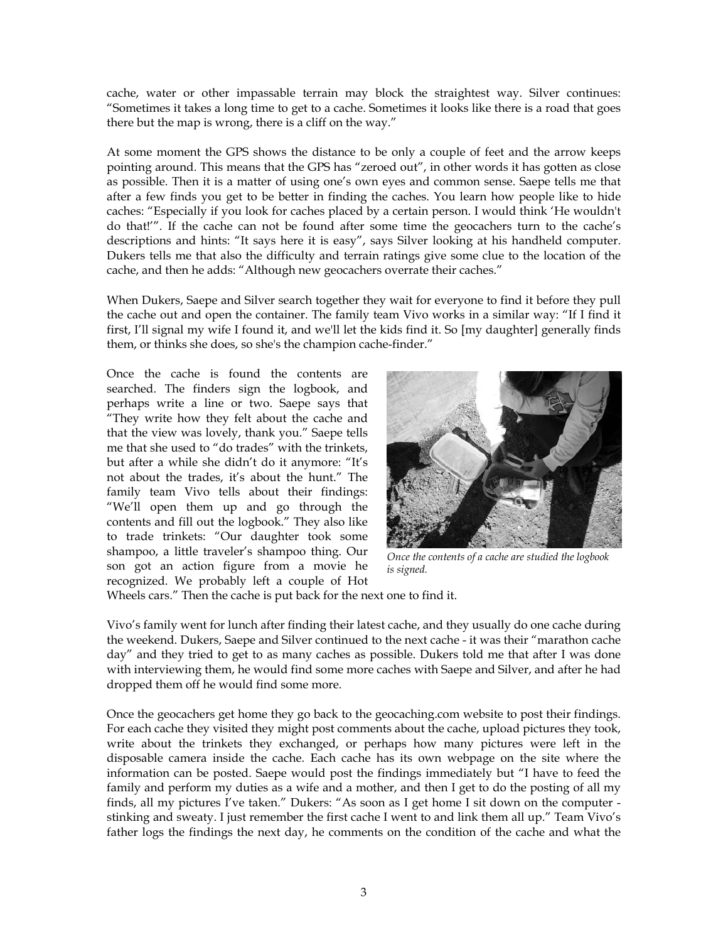cache, water or other impassable terrain may block the straightest way. Silver continues: "Sometimes it takes a long time to get to a cache. Sometimes it looks like there is a road that goes there but the map is wrong, there is a cliff on the way."

At some moment the GPS shows the distance to be only a couple of feet and the arrow keeps pointing around. This means that the GPS has "zeroed out", in other words it has gotten as close as possible. Then it is a matter of using one's own eyes and common sense. Saepe tells me that after a few finds you get to be better in finding the caches. You learn how people like to hide caches: "Especially if you look for caches placed by a certain person. I would think 'He wouldn't do that!'". If the cache can not be found after some time the geocachers turn to the cache's descriptions and hints: "It says here it is easy", says Silver looking at his handheld computer. Dukers tells me that also the difficulty and terrain ratings give some clue to the location of the cache, and then he adds: "Although new geocachers overrate their caches."

When Dukers, Saepe and Silver search together they wait for everyone to find it before they pull the cache out and open the container. The family team Vivo works in a similar way: "If I find it first, I'll signal my wife I found it, and we'll let the kids find it. So [my daughter] generally finds them, or thinks she does, so she's the champion cache-finder."

Once the cache is found the contents are searched. The finders sign the logbook, and perhaps write a line or two. Saepe says that "They write how they felt about the cache and that the view was lovely, thank you." Saepe tells me that she used to "do trades" with the trinkets, but after a while she didn't do it anymore: "It's not about the trades, it's about the hunt." The family team Vivo tells about their findings: "We'll open them up and go through the contents and fill out the logbook." They also like to trade trinkets: "Our daughter took some shampoo, a little traveler's shampoo thing. Our son got an action figure from a movie he recognized. We probably left a couple of Hot



*Once the contents of a cache are studied the logbook is signed.* 

Wheels cars." Then the cache is put back for the next one to find it.

Vivo's family went for lunch after finding their latest cache, and they usually do one cache during the weekend. Dukers, Saepe and Silver continued to the next cache - it was their "marathon cache day" and they tried to get to as many caches as possible. Dukers told me that after I was done with interviewing them, he would find some more caches with Saepe and Silver, and after he had dropped them off he would find some more.

Once the geocachers get home they go back to the geocaching.com website to post their findings. For each cache they visited they might post comments about the cache, upload pictures they took, write about the trinkets they exchanged, or perhaps how many pictures were left in the disposable camera inside the cache. Each cache has its own webpage on the site where the information can be posted. Saepe would post the findings immediately but "I have to feed the family and perform my duties as a wife and a mother, and then I get to do the posting of all my finds, all my pictures I've taken." Dukers: "As soon as I get home I sit down on the computer stinking and sweaty. I just remember the first cache I went to and link them all up." Team Vivo's father logs the findings the next day, he comments on the condition of the cache and what the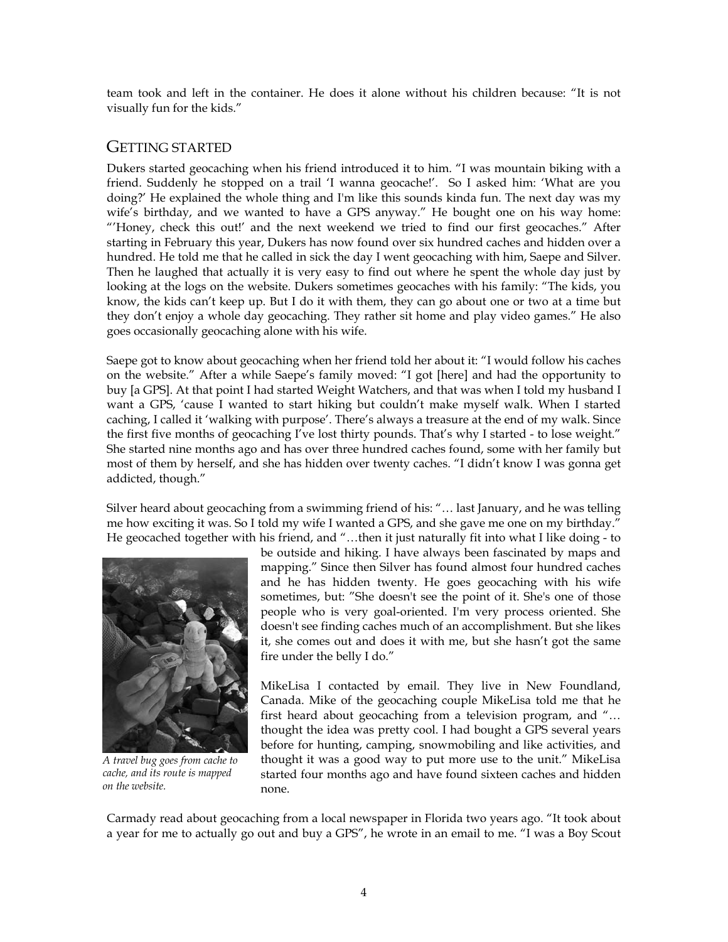team took and left in the container. He does it alone without his children because: "It is not visually fun for the kids."

## GETTING STARTED

Dukers started geocaching when his friend introduced it to him. "I was mountain biking with a friend. Suddenly he stopped on a trail 'I wanna geocache!'. So I asked him: 'What are you doing?' He explained the whole thing and I'm like this sounds kinda fun. The next day was my wife's birthday, and we wanted to have a GPS anyway." He bought one on his way home: "'Honey, check this out!' and the next weekend we tried to find our first geocaches." After starting in February this year, Dukers has now found over six hundred caches and hidden over a hundred. He told me that he called in sick the day I went geocaching with him, Saepe and Silver. Then he laughed that actually it is very easy to find out where he spent the whole day just by looking at the logs on the website. Dukers sometimes geocaches with his family: "The kids, you know, the kids can't keep up. But I do it with them, they can go about one or two at a time but they don't enjoy a whole day geocaching. They rather sit home and play video games." He also goes occasionally geocaching alone with his wife.

Saepe got to know about geocaching when her friend told her about it: "I would follow his caches on the website." After a while Saepe's family moved: "I got [here] and had the opportunity to buy [a GPS]. At that point I had started Weight Watchers, and that was when I told my husband I want a GPS, 'cause I wanted to start hiking but couldn't make myself walk. When I started caching, I called it 'walking with purpose'. There's always a treasure at the end of my walk. Since the first five months of geocaching I've lost thirty pounds. That's why I started - to lose weight." She started nine months ago and has over three hundred caches found, some with her family but most of them by herself, and she has hidden over twenty caches. "I didn't know I was gonna get addicted, though."

Silver heard about geocaching from a swimming friend of his: "… last January, and he was telling me how exciting it was. So I told my wife I wanted a GPS, and she gave me one on my birthday." He geocached together with his friend, and "…then it just naturally fit into what I like doing - to



*A travel bug goes from cache to cache, and its route is mapped on the website.* 

be outside and hiking. I have always been fascinated by maps and mapping." Since then Silver has found almost four hundred caches and he has hidden twenty. He goes geocaching with his wife sometimes, but: "She doesn't see the point of it. She's one of those people who is very goal-oriented. I'm very process oriented. She doesn't see finding caches much of an accomplishment. But she likes it, she comes out and does it with me, but she hasn't got the same fire under the belly I do."

MikeLisa I contacted by email. They live in New Foundland, Canada. Mike of the geocaching couple MikeLisa told me that he first heard about geocaching from a television program, and "… thought the idea was pretty cool. I had bought a GPS several years before for hunting, camping, snowmobiling and like activities, and thought it was a good way to put more use to the unit." MikeLisa started four months ago and have found sixteen caches and hidden none.

Carmady read about geocaching from a local newspaper in Florida two years ago. "It took about a year for me to actually go out and buy a GPS", he wrote in an email to me. "I was a Boy Scout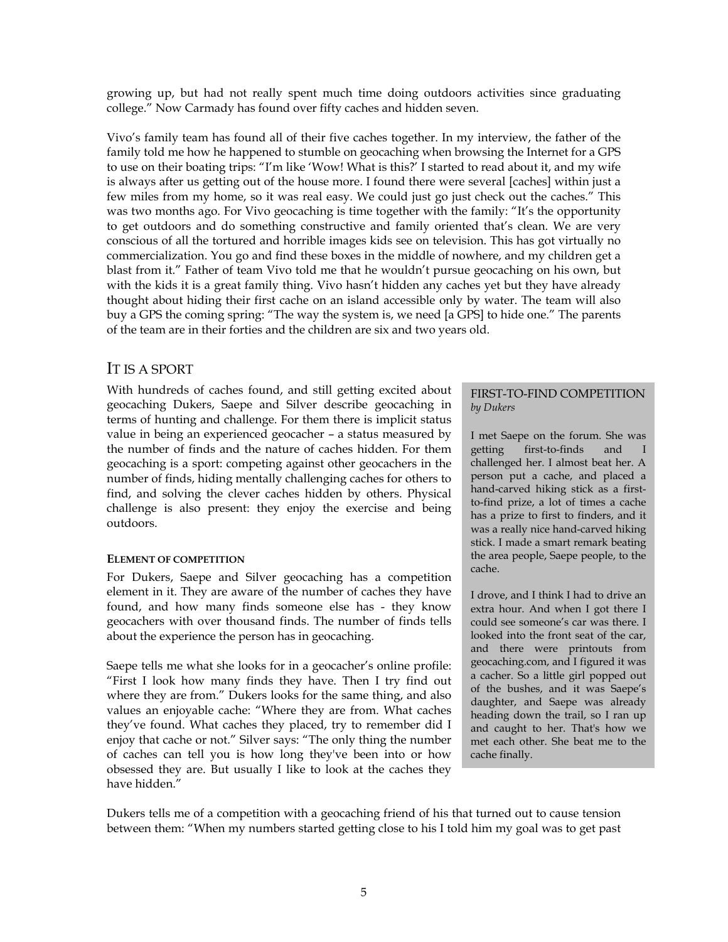growing up, but had not really spent much time doing outdoors activities since graduating college." Now Carmady has found over fifty caches and hidden seven.

Vivo's family team has found all of their five caches together. In my interview, the father of the family told me how he happened to stumble on geocaching when browsing the Internet for a GPS to use on their boating trips: "I'm like 'Wow! What is this?' I started to read about it, and my wife is always after us getting out of the house more. I found there were several [caches] within just a few miles from my home, so it was real easy. We could just go just check out the caches." This was two months ago. For Vivo geocaching is time together with the family: "It's the opportunity to get outdoors and do something constructive and family oriented that's clean. We are very conscious of all the tortured and horrible images kids see on television. This has got virtually no commercialization. You go and find these boxes in the middle of nowhere, and my children get a blast from it." Father of team Vivo told me that he wouldn't pursue geocaching on his own, but with the kids it is a great family thing. Vivo hasn't hidden any caches yet but they have already thought about hiding their first cache on an island accessible only by water. The team will also buy a GPS the coming spring: "The way the system is, we need [a GPS] to hide one." The parents of the team are in their forties and the children are six and two years old.

## IT IS A SPORT

With hundreds of caches found, and still getting excited about geocaching Dukers, Saepe and Silver describe geocaching in terms of hunting and challenge. For them there is implicit status value in being an experienced geocacher – a status measured by the number of finds and the nature of caches hidden. For them geocaching is a sport: competing against other geocachers in the number of finds, hiding mentally challenging caches for others to find, and solving the clever caches hidden by others. Physical challenge is also present: they enjoy the exercise and being outdoors.

### **ELEMENT OF COMPETITION**

For Dukers, Saepe and Silver geocaching has a competition element in it. They are aware of the number of caches they have found, and how many finds someone else has - they know geocachers with over thousand finds. The number of finds tells about the experience the person has in geocaching.

Saepe tells me what she looks for in a geocacher's online profile: "First I look how many finds they have. Then I try find out where they are from." Dukers looks for the same thing, and also values an enjoyable cache: "Where they are from. What caches they've found. What caches they placed, try to remember did I enjoy that cache or not." Silver says: "The only thing the number of caches can tell you is how long they've been into or how obsessed they are. But usually I like to look at the caches they have hidden."

### FIRST-TO-FIND COMPETITION *by Dukers*

I met Saepe on the forum. She was getting first-to-finds and I challenged her. I almost beat her. A person put a cache, and placed a hand-carved hiking stick as a firstto-find prize, a lot of times a cache has a prize to first to finders, and it was a really nice hand-carved hiking stick. I made a smart remark beating the area people, Saepe people, to the cache.

I drove, and I think I had to drive an extra hour. And when I got there I could see someone's car was there. I looked into the front seat of the car, and there were printouts from geocaching.com, and I figured it was a cacher. So a little girl popped out of the bushes, and it was Saepe's daughter, and Saepe was already heading down the trail, so I ran up and caught to her. That's how we met each other. She beat me to the cache finally.

Dukers tells me of a competition with a geocaching friend of his that turned out to cause tension between them: "When my numbers started getting close to his I told him my goal was to get past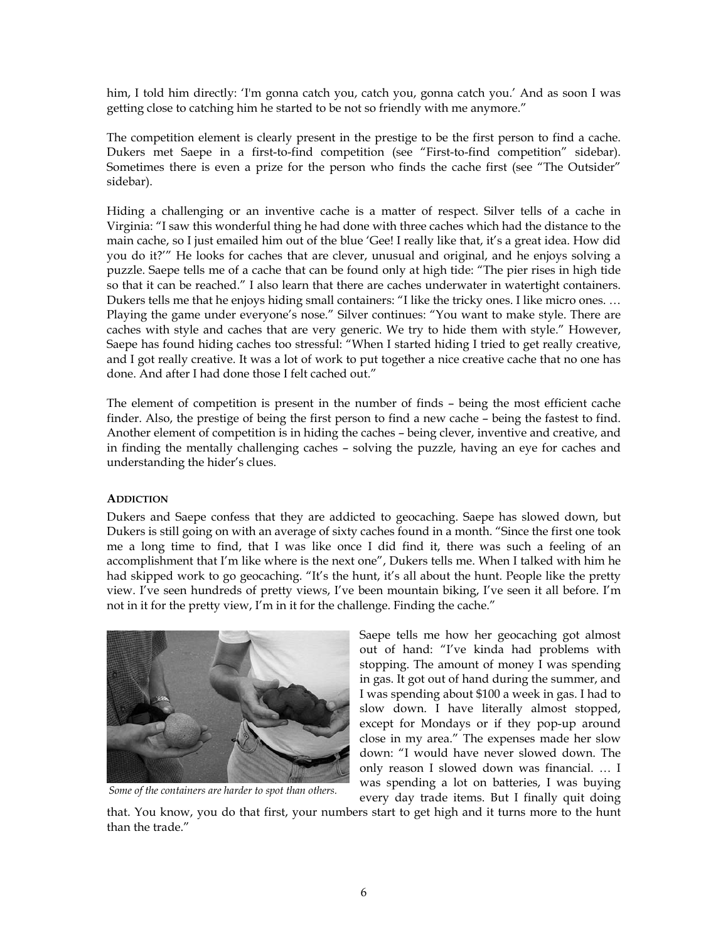him, I told him directly: 'I'm gonna catch you, catch you, gonna catch you.' And as soon I was getting close to catching him he started to be not so friendly with me anymore."

The competition element is clearly present in the prestige to be the first person to find a cache. Dukers met Saepe in a first-to-find competition (see "First-to-find competition" sidebar). Sometimes there is even a prize for the person who finds the cache first (see "The Outsider" sidebar).

Hiding a challenging or an inventive cache is a matter of respect. Silver tells of a cache in Virginia: "I saw this wonderful thing he had done with three caches which had the distance to the main cache, so I just emailed him out of the blue 'Gee! I really like that, it's a great idea. How did you do it?'" He looks for caches that are clever, unusual and original, and he enjoys solving a puzzle. Saepe tells me of a cache that can be found only at high tide: "The pier rises in high tide so that it can be reached." I also learn that there are caches underwater in watertight containers. Dukers tells me that he enjoys hiding small containers: "I like the tricky ones. I like micro ones. … Playing the game under everyone's nose." Silver continues: "You want to make style. There are caches with style and caches that are very generic. We try to hide them with style." However, Saepe has found hiding caches too stressful: "When I started hiding I tried to get really creative, and I got really creative. It was a lot of work to put together a nice creative cache that no one has done. And after I had done those I felt cached out."

The element of competition is present in the number of finds – being the most efficient cache finder. Also, the prestige of being the first person to find a new cache – being the fastest to find. Another element of competition is in hiding the caches – being clever, inventive and creative, and in finding the mentally challenging caches – solving the puzzle, having an eye for caches and understanding the hider's clues.

### **ADDICTION**

Dukers and Saepe confess that they are addicted to geocaching. Saepe has slowed down, but Dukers is still going on with an average of sixty caches found in a month. "Since the first one took me a long time to find, that I was like once I did find it, there was such a feeling of an accomplishment that I'm like where is the next one", Dukers tells me. When I talked with him he had skipped work to go geocaching. "It's the hunt, it's all about the hunt. People like the pretty view. I've seen hundreds of pretty views, I've been mountain biking, I've seen it all before. I'm not in it for the pretty view, I'm in it for the challenge. Finding the cache."



*Some of the containers are harder to spot than others.*

Saepe tells me how her geocaching got almost out of hand: "I've kinda had problems with stopping. The amount of money I was spending in gas. It got out of hand during the summer, and I was spending about \$100 a week in gas. I had to slow down. I have literally almost stopped, except for Mondays or if they pop-up around close in my area." The expenses made her slow down: "I would have never slowed down. The only reason I slowed down was financial. … I was spending a lot on batteries, I was buying every day trade items. But I finally quit doing

that. You know, you do that first, your numbers start to get high and it turns more to the hunt than the trade."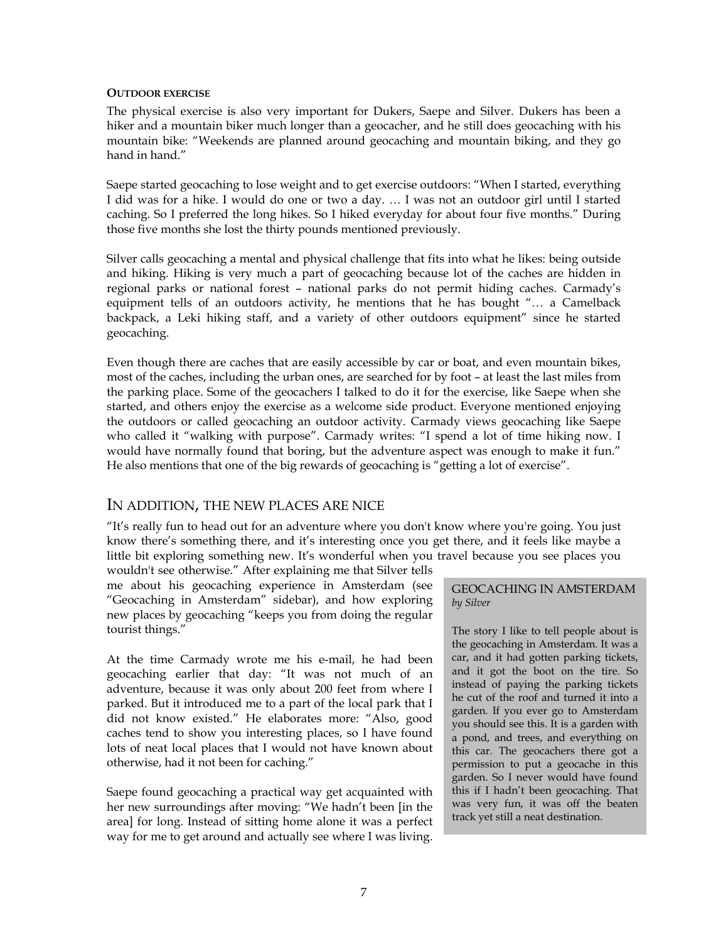#### **OUTDOOR EXERCISE**

The physical exercise is also very important for Dukers, Saepe and Silver. Dukers has been a hiker and a mountain biker much longer than a geocacher, and he still does geocaching with his mountain bike: "Weekends are planned around geocaching and mountain biking, and they go hand in hand."

Saepe started geocaching to lose weight and to get exercise outdoors: "When I started, everything I did was for a hike. I would do one or two a day. … I was not an outdoor girl until I started caching. So I preferred the long hikes. So I hiked everyday for about four five months." During those five months she lost the thirty pounds mentioned previously.

Silver calls geocaching a mental and physical challenge that fits into what he likes: being outside and hiking. Hiking is very much a part of geocaching because lot of the caches are hidden in regional parks or national forest – national parks do not permit hiding caches. Carmady's equipment tells of an outdoors activity, he mentions that he has bought "… a Camelback backpack, a Leki hiking staff, and a variety of other outdoors equipment" since he started geocaching.

Even though there are caches that are easily accessible by car or boat, and even mountain bikes, most of the caches, including the urban ones, are searched for by foot – at least the last miles from the parking place. Some of the geocachers I talked to do it for the exercise, like Saepe when she started, and others enjoy the exercise as a welcome side product. Everyone mentioned enjoying the outdoors or called geocaching an outdoor activity. Carmady views geocaching like Saepe who called it "walking with purpose". Carmady writes: "I spend a lot of time hiking now. I would have normally found that boring, but the adventure aspect was enough to make it fun." He also mentions that one of the big rewards of geocaching is "getting a lot of exercise".

### IN ADDITION, THE NEW PLACES ARE NICE

"It's really fun to head out for an adventure where you don't know where you're going. You just know there's something there, and it's interesting once you get there, and it feels like maybe a little bit exploring something new. It's wonderful when you travel because you see places you

wouldn't see otherwise." After explaining me that Silver tells me about his geocaching experience in Amsterdam (see "Geocaching in Amsterdam" sidebar), and how exploring new places by geocaching "keeps you from doing the regular tourist things."

At the time Carmady wrote me his e-mail, he had been geocaching earlier that day: "It was not much of an adventure, because it was only about 200 feet from where I parked. But it introduced me to a part of the local park that I did not know existed." He elaborates more: "Also, good caches tend to show you interesting places, so I have found lots of neat local places that I would not have known about otherwise, had it not been for caching."

Saepe found geocaching a practical way get acquainted with her new surroundings after moving: "We hadn't been [in the area] for long. Instead of sitting home alone it was a perfect way for me to get around and actually see where I was living.

### GEOCACHING IN AMSTERDAM *by Silver*

The story I like to tell people about is the geocaching in Amsterdam. It was a car, and it had gotten parking tickets, and it got the boot on the tire. So instead of paying the parking tickets he cut of the roof and turned it into a garden. If you ever go to Amsterdam you should see this. It is a garden with a pond, and trees, and everything on this car. The geocachers there got a permission to put a geocache in this garden. So I never would have found this if I hadn't been geocaching. That was very fun, it was off the beaten track yet still a neat destination.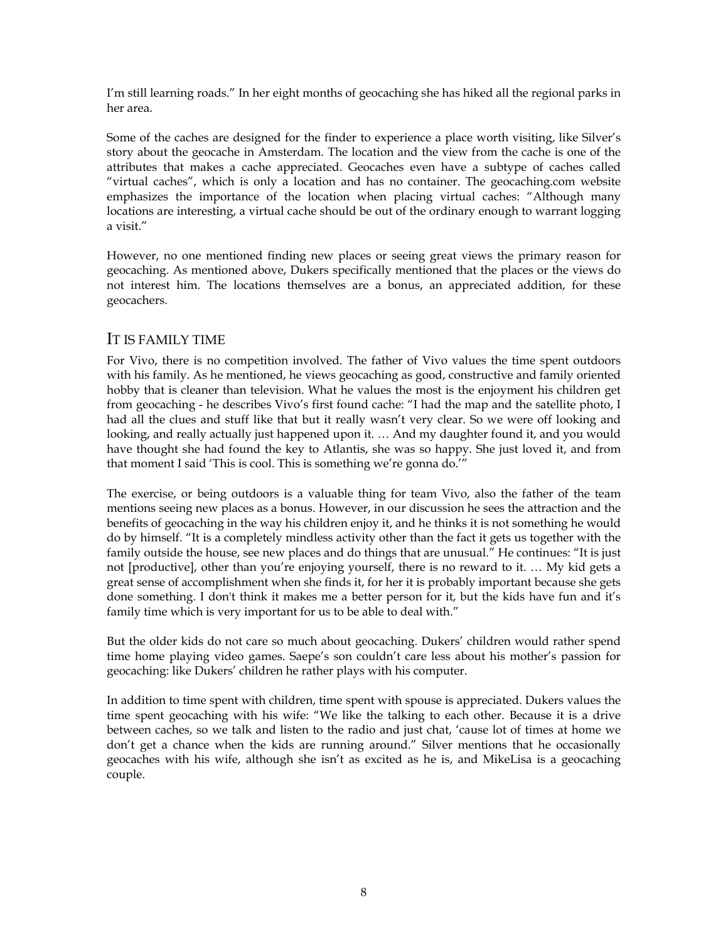I'm still learning roads." In her eight months of geocaching she has hiked all the regional parks in her area.

Some of the caches are designed for the finder to experience a place worth visiting, like Silver's story about the geocache in Amsterdam. The location and the view from the cache is one of the attributes that makes a cache appreciated. Geocaches even have a subtype of caches called "virtual caches", which is only a location and has no container. The geocaching.com website emphasizes the importance of the location when placing virtual caches: "Although many locations are interesting, a virtual cache should be out of the ordinary enough to warrant logging a visit."

However, no one mentioned finding new places or seeing great views the primary reason for geocaching. As mentioned above, Dukers specifically mentioned that the places or the views do not interest him. The locations themselves are a bonus, an appreciated addition, for these geocachers.

### IT IS FAMILY TIME

For Vivo, there is no competition involved. The father of Vivo values the time spent outdoors with his family. As he mentioned, he views geocaching as good, constructive and family oriented hobby that is cleaner than television. What he values the most is the enjoyment his children get from geocaching - he describes Vivo's first found cache: "I had the map and the satellite photo, I had all the clues and stuff like that but it really wasn't very clear. So we were off looking and looking, and really actually just happened upon it. … And my daughter found it, and you would have thought she had found the key to Atlantis, she was so happy. She just loved it, and from that moment I said 'This is cool. This is something we're gonna do.'"

The exercise, or being outdoors is a valuable thing for team Vivo, also the father of the team mentions seeing new places as a bonus. However, in our discussion he sees the attraction and the benefits of geocaching in the way his children enjoy it, and he thinks it is not something he would do by himself. "It is a completely mindless activity other than the fact it gets us together with the family outside the house, see new places and do things that are unusual." He continues: "It is just not [productive], other than you're enjoying yourself, there is no reward to it. … My kid gets a great sense of accomplishment when she finds it, for her it is probably important because she gets done something. I don't think it makes me a better person for it, but the kids have fun and it's family time which is very important for us to be able to deal with."

But the older kids do not care so much about geocaching. Dukers' children would rather spend time home playing video games. Saepe's son couldn't care less about his mother's passion for geocaching: like Dukers' children he rather plays with his computer.

In addition to time spent with children, time spent with spouse is appreciated. Dukers values the time spent geocaching with his wife: "We like the talking to each other. Because it is a drive between caches, so we talk and listen to the radio and just chat, 'cause lot of times at home we don't get a chance when the kids are running around." Silver mentions that he occasionally geocaches with his wife, although she isn't as excited as he is, and MikeLisa is a geocaching couple.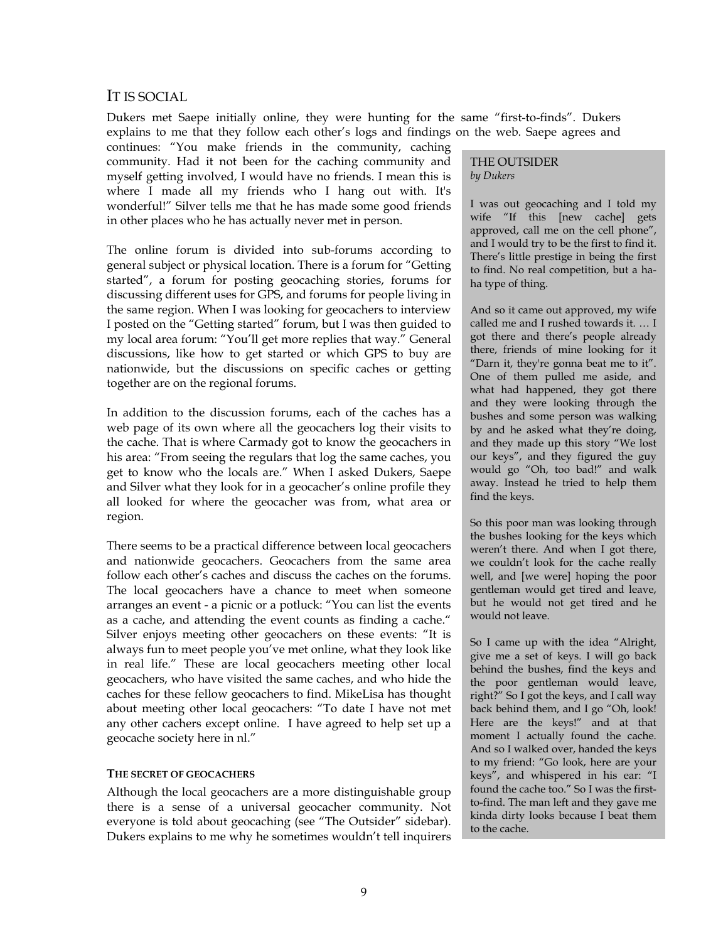## IT IS SOCIAL

Dukers met Saepe initially online, they were hunting for the same "first-to-finds". Dukers explains to me that they follow each other's logs and findings on the web. Saepe agrees and

continues: "You make friends in the community, caching community. Had it not been for the caching community and myself getting involved, I would have no friends. I mean this is where I made all my friends who I hang out with. It's wonderful!" Silver tells me that he has made some good friends in other places who he has actually never met in person.

The online forum is divided into sub-forums according to general subject or physical location. There is a forum for "Getting started", a forum for posting geocaching stories, forums for discussing different uses for GPS, and forums for people living in the same region. When I was looking for geocachers to interview I posted on the "Getting started" forum, but I was then guided to my local area forum: "You'll get more replies that way." General discussions, like how to get started or which GPS to buy are nationwide, but the discussions on specific caches or getting together are on the regional forums.

In addition to the discussion forums, each of the caches has a web page of its own where all the geocachers log their visits to the cache. That is where Carmady got to know the geocachers in his area: "From seeing the regulars that log the same caches, you get to know who the locals are." When I asked Dukers, Saepe and Silver what they look for in a geocacher's online profile they all looked for where the geocacher was from, what area or region.

There seems to be a practical difference between local geocachers and nationwide geocachers. Geocachers from the same area follow each other's caches and discuss the caches on the forums. The local geocachers have a chance to meet when someone arranges an event - a picnic or a potluck: "You can list the events as a cache, and attending the event counts as finding a cache." Silver enjoys meeting other geocachers on these events: "It is always fun to meet people you've met online, what they look like in real life." These are local geocachers meeting other local geocachers, who have visited the same caches, and who hide the caches for these fellow geocachers to find. MikeLisa has thought about meeting other local geocachers: "To date I have not met any other cachers except online. I have agreed to help set up a geocache society here in nl."

### **THE SECRET OF GEOCACHERS**

Although the local geocachers are a more distinguishable group there is a sense of a universal geocacher community. Not everyone is told about geocaching (see "The Outsider" sidebar). Dukers explains to me why he sometimes wouldn't tell inquirers

### THE OUTSIDER *by Dukers*

I was out geocaching and I told my wife "If this [new cache] gets approved, call me on the cell phone", and I would try to be the first to find it. There's little prestige in being the first to find. No real competition, but a haha type of thing.

And so it came out approved, my wife called me and I rushed towards it. … I got there and there's people already there, friends of mine looking for it "Darn it, they're gonna beat me to it". One of them pulled me aside, and what had happened, they got there and they were looking through the bushes and some person was walking by and he asked what they're doing, and they made up this story "We lost our keys", and they figured the guy would go "Oh, too bad!" and walk away. Instead he tried to help them find the keys.

So this poor man was looking through the bushes looking for the keys which weren't there. And when I got there, we couldn't look for the cache really well, and [we were] hoping the poor gentleman would get tired and leave, but he would not get tired and he would not leave.

So I came up with the idea "Alright, give me a set of keys. I will go back behind the bushes, find the keys and the poor gentleman would leave, right?" So I got the keys, and I call way back behind them, and I go "Oh, look! Here are the keys!" and at that moment I actually found the cache. And so I walked over, handed the keys to my friend: "Go look, here are your keys", and whispered in his ear: "I found the cache too." So I was the firstto-find. The man left and they gave me kinda dirty looks because I beat them to the cache.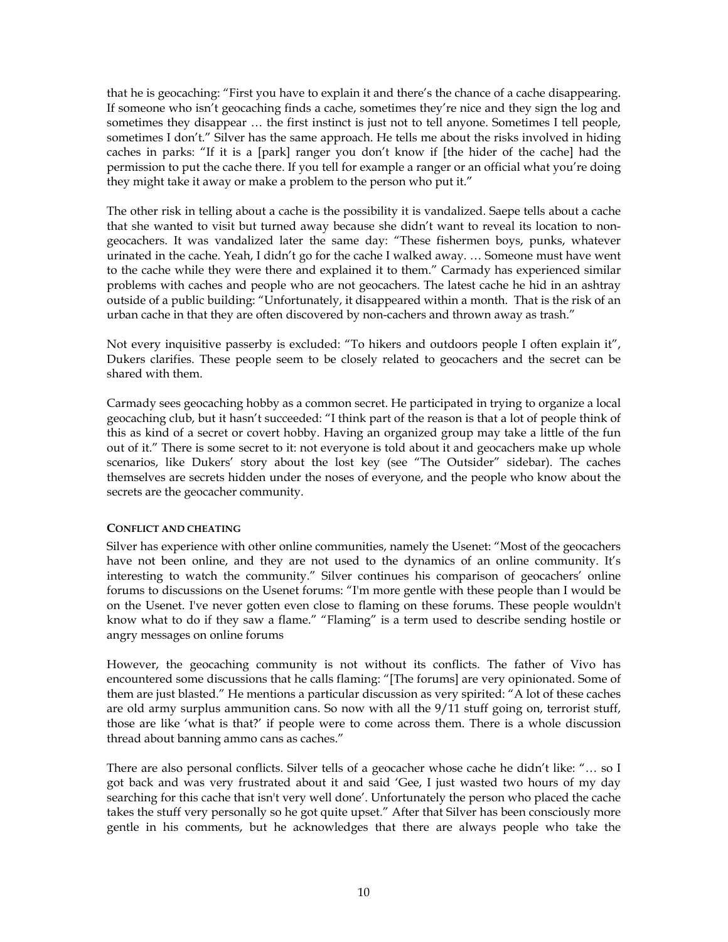that he is geocaching: "First you have to explain it and there's the chance of a cache disappearing. If someone who isn't geocaching finds a cache, sometimes they're nice and they sign the log and sometimes they disappear … the first instinct is just not to tell anyone. Sometimes I tell people, sometimes I don't." Silver has the same approach. He tells me about the risks involved in hiding caches in parks: "If it is a [park] ranger you don't know if [the hider of the cache] had the permission to put the cache there. If you tell for example a ranger or an official what you're doing they might take it away or make a problem to the person who put it."

The other risk in telling about a cache is the possibility it is vandalized. Saepe tells about a cache that she wanted to visit but turned away because she didn't want to reveal its location to nongeocachers. It was vandalized later the same day: "These fishermen boys, punks, whatever urinated in the cache. Yeah, I didn't go for the cache I walked away. … Someone must have went to the cache while they were there and explained it to them." Carmady has experienced similar problems with caches and people who are not geocachers. The latest cache he hid in an ashtray outside of a public building: "Unfortunately, it disappeared within a month. That is the risk of an urban cache in that they are often discovered by non-cachers and thrown away as trash."

Not every inquisitive passerby is excluded: "To hikers and outdoors people I often explain it", Dukers clarifies. These people seem to be closely related to geocachers and the secret can be shared with them.

Carmady sees geocaching hobby as a common secret. He participated in trying to organize a local geocaching club, but it hasn't succeeded: "I think part of the reason is that a lot of people think of this as kind of a secret or covert hobby. Having an organized group may take a little of the fun out of it." There is some secret to it: not everyone is told about it and geocachers make up whole scenarios, like Dukers' story about the lost key (see "The Outsider" sidebar). The caches themselves are secrets hidden under the noses of everyone, and the people who know about the secrets are the geocacher community.

### **CONFLICT AND CHEATING**

Silver has experience with other online communities, namely the Usenet: "Most of the geocachers have not been online, and they are not used to the dynamics of an online community. It's interesting to watch the community." Silver continues his comparison of geocachers' online forums to discussions on the Usenet forums: "I'm more gentle with these people than I would be on the Usenet. I've never gotten even close to flaming on these forums. These people wouldn't know what to do if they saw a flame." "Flaming" is a term used to describe sending hostile or angry messages on online forums

However, the geocaching community is not without its conflicts. The father of Vivo has encountered some discussions that he calls flaming: "[The forums] are very opinionated. Some of them are just blasted." He mentions a particular discussion as very spirited: "A lot of these caches are old army surplus ammunition cans. So now with all the 9/11 stuff going on, terrorist stuff, those are like 'what is that?' if people were to come across them. There is a whole discussion thread about banning ammo cans as caches."

There are also personal conflicts. Silver tells of a geocacher whose cache he didn't like: "... so I got back and was very frustrated about it and said 'Gee, I just wasted two hours of my day searching for this cache that isn't very well done'. Unfortunately the person who placed the cache takes the stuff very personally so he got quite upset." After that Silver has been consciously more gentle in his comments, but he acknowledges that there are always people who take the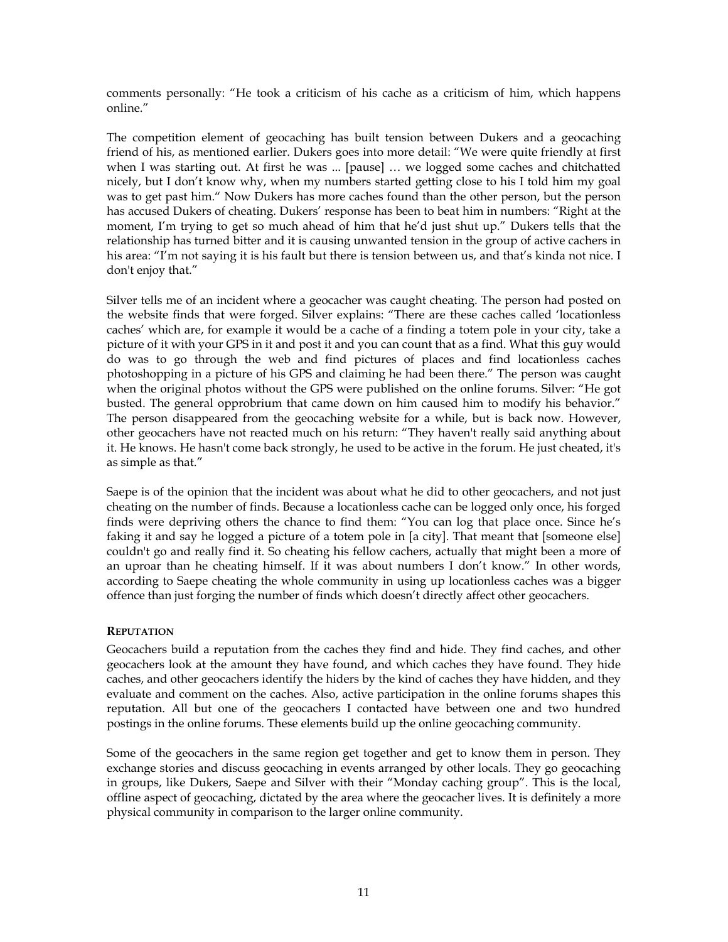comments personally: "He took a criticism of his cache as a criticism of him, which happens online."

The competition element of geocaching has built tension between Dukers and a geocaching friend of his, as mentioned earlier. Dukers goes into more detail: "We were quite friendly at first when I was starting out. At first he was ... [pause] … we logged some caches and chitchatted nicely, but I don't know why, when my numbers started getting close to his I told him my goal was to get past him." Now Dukers has more caches found than the other person, but the person has accused Dukers of cheating. Dukers' response has been to beat him in numbers: "Right at the moment, I'm trying to get so much ahead of him that he'd just shut up." Dukers tells that the relationship has turned bitter and it is causing unwanted tension in the group of active cachers in his area: "I'm not saying it is his fault but there is tension between us, and that's kinda not nice. I don't enjoy that."

Silver tells me of an incident where a geocacher was caught cheating. The person had posted on the website finds that were forged. Silver explains: "There are these caches called 'locationless caches' which are, for example it would be a cache of a finding a totem pole in your city, take a picture of it with your GPS in it and post it and you can count that as a find. What this guy would do was to go through the web and find pictures of places and find locationless caches photoshopping in a picture of his GPS and claiming he had been there." The person was caught when the original photos without the GPS were published on the online forums. Silver: "He got busted. The general opprobrium that came down on him caused him to modify his behavior." The person disappeared from the geocaching website for a while, but is back now. However, other geocachers have not reacted much on his return: "They haven't really said anything about it. He knows. He hasn't come back strongly, he used to be active in the forum. He just cheated, it's as simple as that."

Saepe is of the opinion that the incident was about what he did to other geocachers, and not just cheating on the number of finds. Because a locationless cache can be logged only once, his forged finds were depriving others the chance to find them: "You can log that place once. Since he's faking it and say he logged a picture of a totem pole in [a city]. That meant that [someone else] couldn't go and really find it. So cheating his fellow cachers, actually that might been a more of an uproar than he cheating himself. If it was about numbers I don't know." In other words, according to Saepe cheating the whole community in using up locationless caches was a bigger offence than just forging the number of finds which doesn't directly affect other geocachers.

### **REPUTATION**

Geocachers build a reputation from the caches they find and hide. They find caches, and other geocachers look at the amount they have found, and which caches they have found. They hide caches, and other geocachers identify the hiders by the kind of caches they have hidden, and they evaluate and comment on the caches. Also, active participation in the online forums shapes this reputation. All but one of the geocachers I contacted have between one and two hundred postings in the online forums. These elements build up the online geocaching community.

Some of the geocachers in the same region get together and get to know them in person. They exchange stories and discuss geocaching in events arranged by other locals. They go geocaching in groups, like Dukers, Saepe and Silver with their "Monday caching group". This is the local, offline aspect of geocaching, dictated by the area where the geocacher lives. It is definitely a more physical community in comparison to the larger online community.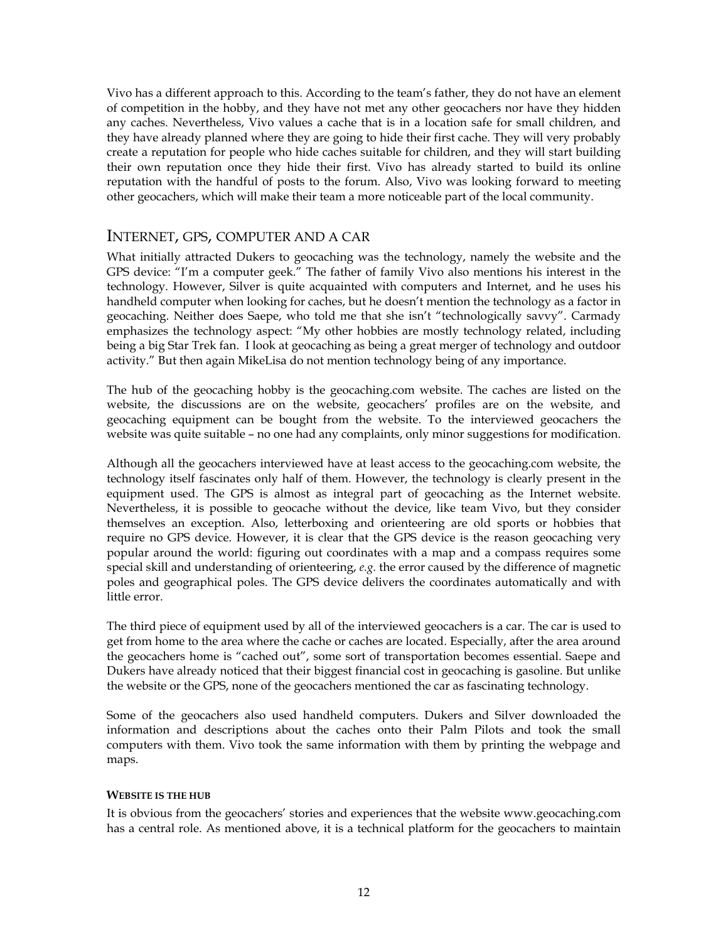Vivo has a different approach to this. According to the team's father, they do not have an element of competition in the hobby, and they have not met any other geocachers nor have they hidden any caches. Nevertheless, Vivo values a cache that is in a location safe for small children, and they have already planned where they are going to hide their first cache. They will very probably create a reputation for people who hide caches suitable for children, and they will start building their own reputation once they hide their first. Vivo has already started to build its online reputation with the handful of posts to the forum. Also, Vivo was looking forward to meeting other geocachers, which will make their team a more noticeable part of the local community.

### INTERNET, GPS, COMPUTER AND A CAR

What initially attracted Dukers to geocaching was the technology, namely the website and the GPS device: "I'm a computer geek." The father of family Vivo also mentions his interest in the technology. However, Silver is quite acquainted with computers and Internet, and he uses his handheld computer when looking for caches, but he doesn't mention the technology as a factor in geocaching. Neither does Saepe, who told me that she isn't "technologically savvy". Carmady emphasizes the technology aspect: "My other hobbies are mostly technology related, including being a big Star Trek fan. I look at geocaching as being a great merger of technology and outdoor activity." But then again MikeLisa do not mention technology being of any importance.

The hub of the geocaching hobby is the geocaching.com website. The caches are listed on the website, the discussions are on the website, geocachers' profiles are on the website, and geocaching equipment can be bought from the website. To the interviewed geocachers the website was quite suitable – no one had any complaints, only minor suggestions for modification.

Although all the geocachers interviewed have at least access to the geocaching.com website, the technology itself fascinates only half of them. However, the technology is clearly present in the equipment used. The GPS is almost as integral part of geocaching as the Internet website. Nevertheless, it is possible to geocache without the device, like team Vivo, but they consider themselves an exception. Also, letterboxing and orienteering are old sports or hobbies that require no GPS device. However, it is clear that the GPS device is the reason geocaching very popular around the world: figuring out coordinates with a map and a compass requires some special skill and understanding of orienteering, *e.g.* the error caused by the difference of magnetic poles and geographical poles. The GPS device delivers the coordinates automatically and with little error.

The third piece of equipment used by all of the interviewed geocachers is a car. The car is used to get from home to the area where the cache or caches are located. Especially, after the area around the geocachers home is "cached out", some sort of transportation becomes essential. Saepe and Dukers have already noticed that their biggest financial cost in geocaching is gasoline. But unlike the website or the GPS, none of the geocachers mentioned the car as fascinating technology.

Some of the geocachers also used handheld computers. Dukers and Silver downloaded the information and descriptions about the caches onto their Palm Pilots and took the small computers with them. Vivo took the same information with them by printing the webpage and maps.

### **WEBSITE IS THE HUB**

It is obvious from the geocachers' stories and experiences that the website www.geocaching.com has a central role. As mentioned above, it is a technical platform for the geocachers to maintain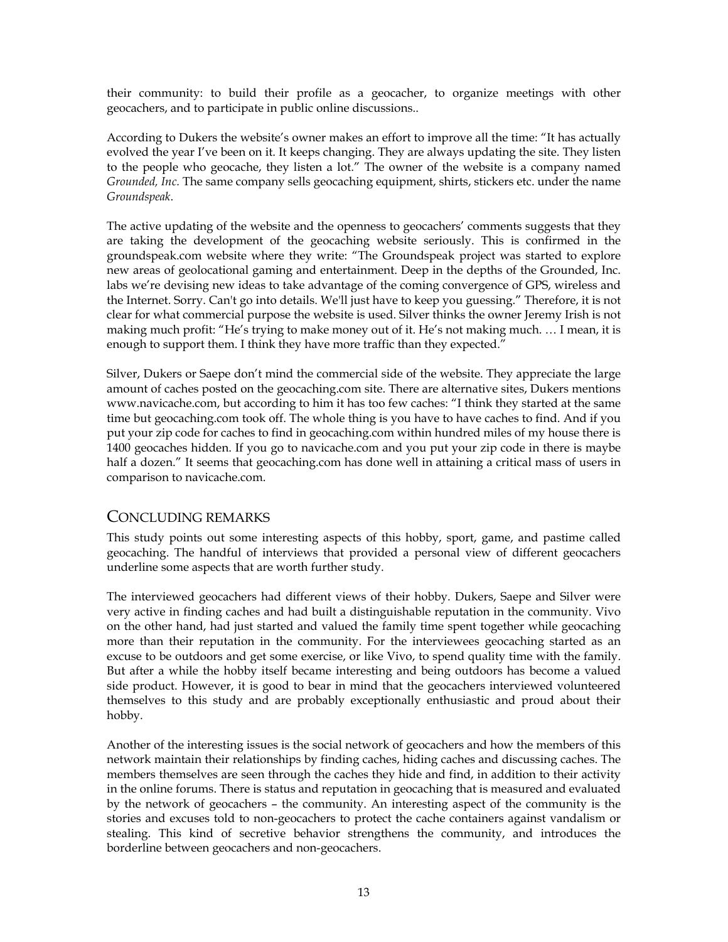their community: to build their profile as a geocacher, to organize meetings with other geocachers, and to participate in public online discussions..

According to Dukers the website's owner makes an effort to improve all the time: "It has actually evolved the year I've been on it. It keeps changing. They are always updating the site. They listen to the people who geocache, they listen a lot." The owner of the website is a company named *Grounded, Inc.* The same company sells geocaching equipment, shirts, stickers etc. under the name *Groundspeak*.

The active updating of the website and the openness to geocachers' comments suggests that they are taking the development of the geocaching website seriously. This is confirmed in the groundspeak.com website where they write: "The Groundspeak project was started to explore new areas of geolocational gaming and entertainment. Deep in the depths of the Grounded, Inc. labs we're devising new ideas to take advantage of the coming convergence of GPS, wireless and the Internet. Sorry. Can't go into details. We'll just have to keep you guessing." Therefore, it is not clear for what commercial purpose the website is used. Silver thinks the owner Jeremy Irish is not making much profit: "He's trying to make money out of it. He's not making much. … I mean, it is enough to support them. I think they have more traffic than they expected."

Silver, Dukers or Saepe don't mind the commercial side of the website. They appreciate the large amount of caches posted on the geocaching.com site. There are alternative sites, Dukers mentions www.navicache.com, but according to him it has too few caches: "I think they started at the same time but geocaching.com took off. The whole thing is you have to have caches to find. And if you put your zip code for caches to find in geocaching.com within hundred miles of my house there is 1400 geocaches hidden. If you go to navicache.com and you put your zip code in there is maybe half a dozen." It seems that geocaching.com has done well in attaining a critical mass of users in comparison to navicache.com.

### CONCLUDING REMARKS

This study points out some interesting aspects of this hobby, sport, game, and pastime called geocaching. The handful of interviews that provided a personal view of different geocachers underline some aspects that are worth further study.

The interviewed geocachers had different views of their hobby. Dukers, Saepe and Silver were very active in finding caches and had built a distinguishable reputation in the community. Vivo on the other hand, had just started and valued the family time spent together while geocaching more than their reputation in the community. For the interviewees geocaching started as an excuse to be outdoors and get some exercise, or like Vivo, to spend quality time with the family. But after a while the hobby itself became interesting and being outdoors has become a valued side product. However, it is good to bear in mind that the geocachers interviewed volunteered themselves to this study and are probably exceptionally enthusiastic and proud about their hobby.

Another of the interesting issues is the social network of geocachers and how the members of this network maintain their relationships by finding caches, hiding caches and discussing caches. The members themselves are seen through the caches they hide and find, in addition to their activity in the online forums. There is status and reputation in geocaching that is measured and evaluated by the network of geocachers – the community. An interesting aspect of the community is the stories and excuses told to non-geocachers to protect the cache containers against vandalism or stealing. This kind of secretive behavior strengthens the community, and introduces the borderline between geocachers and non-geocachers.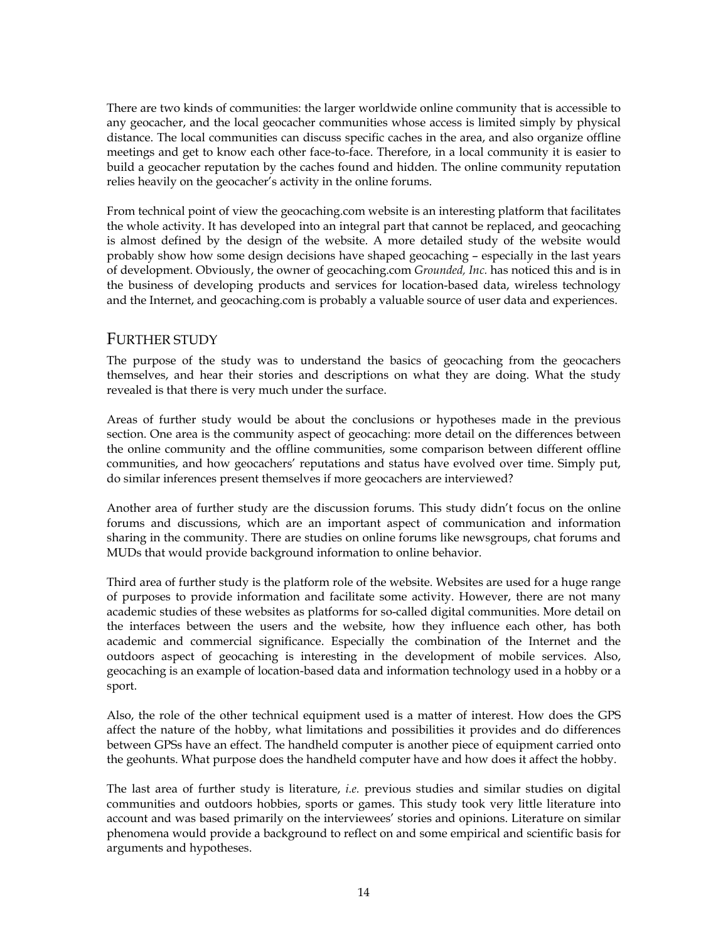There are two kinds of communities: the larger worldwide online community that is accessible to any geocacher, and the local geocacher communities whose access is limited simply by physical distance. The local communities can discuss specific caches in the area, and also organize offline meetings and get to know each other face-to-face. Therefore, in a local community it is easier to build a geocacher reputation by the caches found and hidden. The online community reputation relies heavily on the geocacher's activity in the online forums.

From technical point of view the geocaching.com website is an interesting platform that facilitates the whole activity. It has developed into an integral part that cannot be replaced, and geocaching is almost defined by the design of the website. A more detailed study of the website would probably show how some design decisions have shaped geocaching – especially in the last years of development. Obviously, the owner of geocaching.com *Grounded, Inc.* has noticed this and is in the business of developing products and services for location-based data, wireless technology and the Internet, and geocaching.com is probably a valuable source of user data and experiences.

# FURTHER STUDY

The purpose of the study was to understand the basics of geocaching from the geocachers themselves, and hear their stories and descriptions on what they are doing. What the study revealed is that there is very much under the surface.

Areas of further study would be about the conclusions or hypotheses made in the previous section. One area is the community aspect of geocaching: more detail on the differences between the online community and the offline communities, some comparison between different offline communities, and how geocachers' reputations and status have evolved over time. Simply put, do similar inferences present themselves if more geocachers are interviewed?

Another area of further study are the discussion forums. This study didn't focus on the online forums and discussions, which are an important aspect of communication and information sharing in the community. There are studies on online forums like newsgroups, chat forums and MUDs that would provide background information to online behavior.

Third area of further study is the platform role of the website. Websites are used for a huge range of purposes to provide information and facilitate some activity. However, there are not many academic studies of these websites as platforms for so-called digital communities. More detail on the interfaces between the users and the website, how they influence each other, has both academic and commercial significance. Especially the combination of the Internet and the outdoors aspect of geocaching is interesting in the development of mobile services. Also, geocaching is an example of location-based data and information technology used in a hobby or a sport.

Also, the role of the other technical equipment used is a matter of interest. How does the GPS affect the nature of the hobby, what limitations and possibilities it provides and do differences between GPSs have an effect. The handheld computer is another piece of equipment carried onto the geohunts. What purpose does the handheld computer have and how does it affect the hobby.

The last area of further study is literature, *i.e.* previous studies and similar studies on digital communities and outdoors hobbies, sports or games. This study took very little literature into account and was based primarily on the interviewees' stories and opinions. Literature on similar phenomena would provide a background to reflect on and some empirical and scientific basis for arguments and hypotheses.